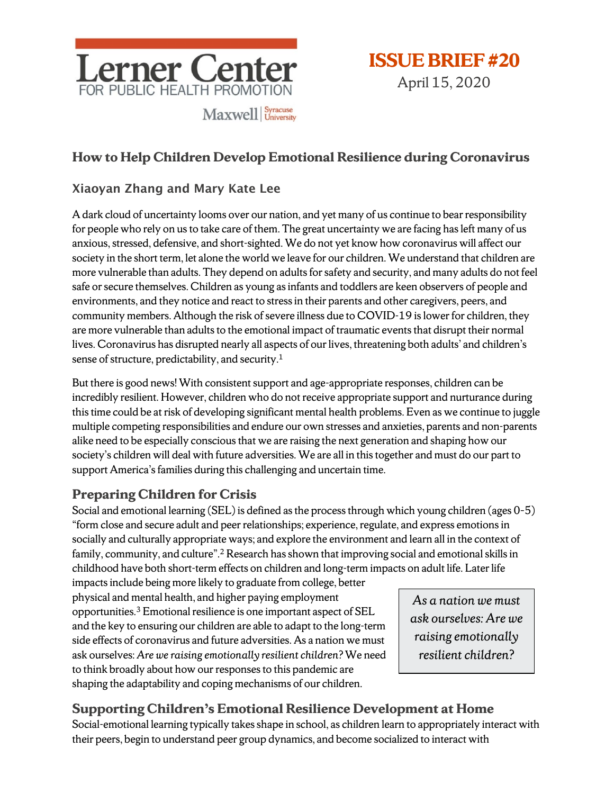

April 15, 2020

# **How to Help Children Develop Emotional Resilience during Coronavirus**

## Xiaoyan Zhang and Mary Kate Lee

Adark cloud of uncertainty looms over our nation, and yet many of us continue to bear responsibility for people who rely on us to take care of them. The great uncertainty we are facing has left many of us anxious, stressed, defensive, and short-sighted. We do not yet know how coronavirus will affect our society in the short term, let alone the world we leave for our children. We understand that children are more vulnerable than adults. They depend on adults for safety and security, and many adults do not feel safe or secure themselves. Children as young as infants and toddlers are keen observers of people and environments, and they notice and react to stress in their parents and other caregivers, peers, and community members. Although the risk of severe illness due to COVID-19 is lower for children, they are more vulnerable than adults to the emotional impact of traumatic events that disrupt their normal lives. Coronavirus has disrupted nearly all aspects of our lives, threatening both adults' and children's sense of structure, predictability, and security.1

But there is good news! With consistent support and age-appropriate responses, children can be incredibly resilient. However, children who do not receive appropriate support and nurturance during this time could be at risk of developing significant mental health problems. Even as we continue to juggle multiple competing responsibilities and endure our own stresses and anxieties, parents and non-parents alike need to be especially conscious that we are raising the next generation and shaping how our society's children will deal with future adversities. We are all in this together and must do our part to support America's families during this challenging and uncertain time.

# **Preparing Children for Crisis**

Social and emotional learning (SEL) is defined as the process through which young children (ages 0-5) "form close and secure adult and peer relationships; experience, regulate, and express emotions in socially and culturally appropriate ways; and explore the environment and learn all in the context of family, community, and culture".<sup>2</sup> Research has shown that improving social and emotional skills in childhood have both short-term effects on children and long-term impacts on adult life. Later life

impacts include being more likely to graduate from college, better physical and mental health, and higher paying employment opportunities.3 Emotional resilience is one important aspect of SEL and the key to ensuring our children are able to adapt to the long-term side effects of coronavirus and future adversities. As a nation we must ask ourselves: *Are we raising emotionally resilient children?* We need to think broadly about how our responses to this pandemic are shaping the adaptability and coping mechanisms of our children.

*As a nation we must ask ourselves: Are we raising emotionally resilient children?* 

# **Supporting Children's Emotional Resilience Development at Home**

Social-emotional learning typically takes shape in school, as children learn to appropriately interact with their peers, begin to understand peer group dynamics, and become socialized to interact with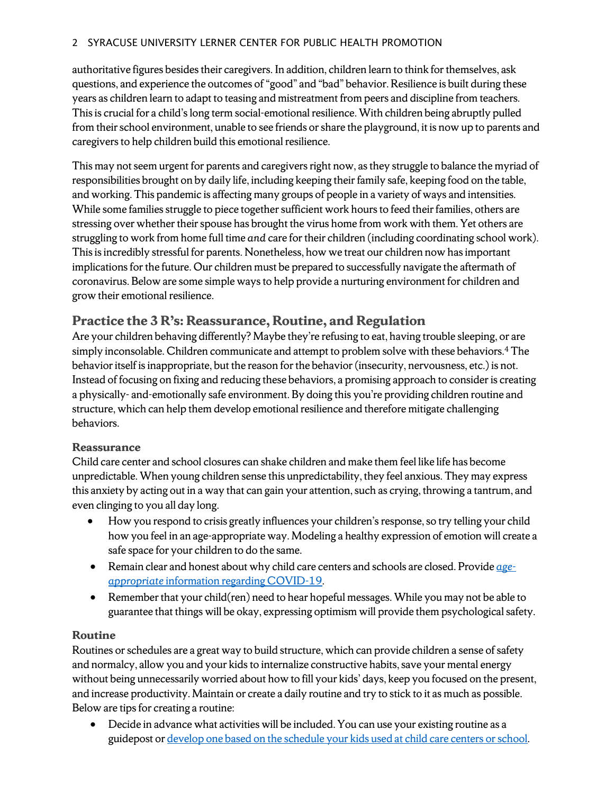#### 2 SYRACUSE UNIVERSITY LERNER CENTER FOR PUBLIC HEALTH PROMOTION

authoritative figures besides their caregivers. In addition, children learn to think for themselves, ask questions, and experience the outcomes of "good" and "bad" behavior. Resilience is built during these years as children learn to adapt to teasing and mistreatment from peers and discipline from teachers. This is crucial for a child's long term social-emotional resilience. With children being abruptly pulled from their school environment, unable to see friends or share the playground, it is now up to parents and caregivers to help children build this emotional resilience.

This may not seem urgent for parents and caregivers right now, as they struggle to balance the myriad of responsibilities brought on by daily life, including keeping their family safe, keeping food on the table, and working. This pandemic is affecting many groups of people in a variety of ways and intensities. While some families struggle to piece together sufficient work hours to feed their families, others are stressing over whether their spouse has brought the virus home from work with them. Yet others are struggling to work from home full time *and* care for their children (including coordinating school work). This is incredibly stressful for parents. Nonetheless, how we treat our children now hasimportant implications for the future. Our children must be prepared to successfully navigate the aftermath of coronavirus. Below are some simple ways to help provide a nurturing environment for children and grow their emotional resilience.

## **Practice the 3 R's: Reassurance, Routine, and Regulation**

Are your children behaving differently? Maybe they're refusing to eat, having trouble sleeping, or are simply inconsolable. Children communicate and attempt to problem solve with these behaviors. <sup>4</sup> The behavior itself is inappropriate, but the reason for the behavior (insecurity, nervousness, etc.) is not. Instead of focusing on fixing and reducing these behaviors, a promising approach to consider is creating a physically- and-emotionally safe environment. By doing this you're providing children routine and structure, which can help them develop emotional resilience and therefore mitigate challenging behaviors.

### **Reassurance**

Child care center and school closures can shake children and make them feel like life has become unpredictable. When young children sense this unpredictability, they feel anxious. They may express this anxiety by acting out in a way that can gain your attention, such as crying, throwing a tantrum, and even clinging to you all day long.

- How you respond to crisis greatly influences your children's response, so try telling your child how you feel in an age-appropriate way. Modeling a healthy expression of emotion will create a safe space for your children to do the same.
- Remain clear and honest about why child care centers and schools are closed. Provide *[age](http://healthyathome.readyrosie.com/en/)appropriate* [information regarding COVID-19.](http://healthyathome.readyrosie.com/en/)
- Remember that your child(ren) need to hear hopeful messages. While you may not be able to guarantee that things will be okay, expressing optimism will provide them psychological safety.

### **Routine**

Routines or schedules are a great way to build structure, which can provide children a sense of safety and normalcy, allow you and your kids to internalize constructive habits, save your mental energy without being unnecessarily worried about how to fill your kids' days, keep you focused on the present, and increase productivity. Maintain or create a daily routine and try to stick to it as much as possible. Below are tips for creating a routine:

• Decide in advance what activities will be included. You can use your existing routine as a guidepost o[r develop one based on the schedule your kids used at child care centers](https://www.cdc.gov/parents/essentials/structure/building.html) or school.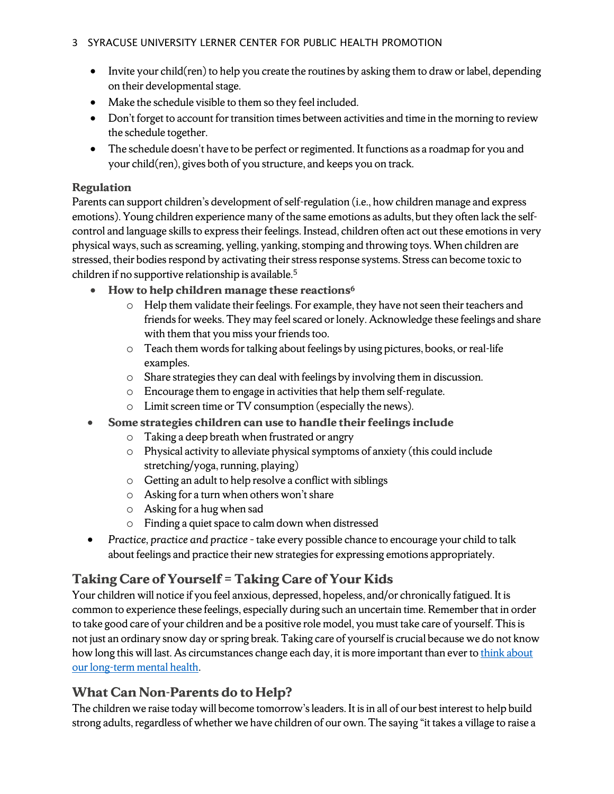#### 3 SYRACUSE UNIVERSITY LERNER CENTER FOR PUBLIC HEALTH PROMOTION

- Invite your child(ren) to help you create the routines by asking them to draw or label, depending on their developmental stage.
- Make the schedule visible to them so they feel included.
- Don't forget to account for transition times between activities and time in the morning to review the schedule together.
- The schedule doesn't have to be perfect or regimented. It functions as a roadmap for you and your child(ren), gives both of you structure, and keeps you on track.

### **Regulation**

Parents can support children's development of self-regulation (i.e., how children manage and express emotions). Young children experience many of the same emotions as adults, but they often lack the selfcontrol and language skills to express their feelings. Instead, children often act out these emotions in very physical ways, such as screaming, yelling, yanking, stomping and throwing toys. When children are stressed, their bodies respond by activating their stress response systems. Stress can become toxic to children if no supportive relationship is available.5

- **How to help children manage these reactions6**
	- o Help them validate their feelings. For example, they have notseen their teachers and friends for weeks. They may feel scared or lonely. Acknowledge these feelings and share with them that you miss your friends too.
	- o Teach them words for talking about feelings by using pictures, books, or real-life examples.
	- $\circ$  Share strategies they can deal with feelings by involving them in discussion.
	- o Encourage them to engage in activities that help them self-regulate.
	- o Limit screen time or TV consumption (especially the news).
- **Some strategies children can use to handle their feelings include**
	- o Taking a deep breath when frustrated or angry
	- o Physical activity to alleviate physical symptoms of anxiety (this could include stretching/yoga, running, playing)
	- o Getting an adult to help resolve a conflict with siblings
	- o Asking for a turn when others won't share
	- o Asking for a hug when sad
	- o Finding a quiet space to calm down when distressed
- Practice, practice and practice take every possible chance to encourage your child to talk about feelings and practice their new strategies for expressing emotions appropriately.

# **Taking Care of Yourself = Taking Care of Your Kids**

Your children will notice if you feel anxious, depressed, hopeless, and/or chronically fatigued. It is common to experience these feelings, especially during such an uncertain time. Remember that in order to take good care of your children and be a positive role model, you must take care of yourself. This is not just an ordinary snow day or spring break. Taking care of yourself is crucial because we do not know how long this will last. As circumstances change each day, it is more important than ever to think about our long-term [mental health.](https://lernercenter.syr.edu/2020/03/19/covid-19-playing-the-long-game-for-your-mental-health/)

## **What Can Non-Parents do to Help?**

The children we raise today will become tomorrow's leaders. It is in all of our best interest to help build strong adults, regardless of whether we have children of our own. The saying "it takes a village to raise a